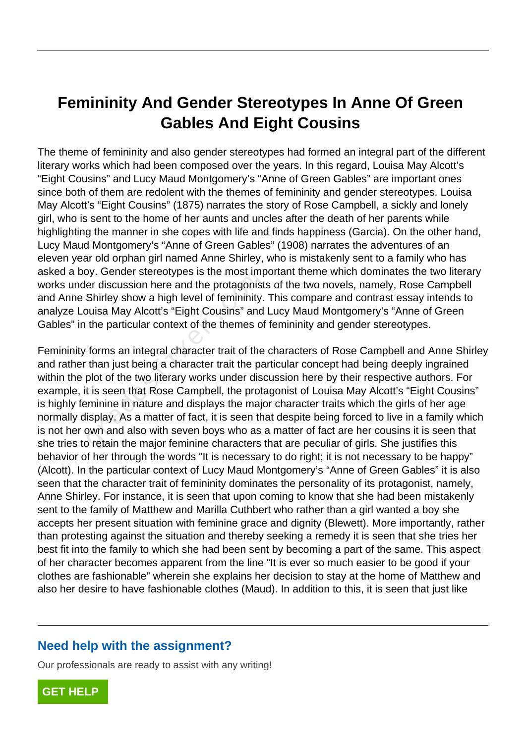# **Femininity And Gender Stereotypes In Anne Of Green Gables And Eight Cousins**

The theme of femininity and also gender stereotypes had formed an integral part of the different literary works which had been composed over the years. In this regard, Louisa May Alcott's "Eight Cousins" and Lucy Maud Montgomery's "Anne of Green Gables" are important ones since both of them are redolent with the themes of femininity and gender stereotypes. Louisa May Alcott's "Eight Cousins" (1875) narrates the story of Rose Campbell, a sickly and lonely girl, who is sent to the home of her aunts and uncles after the death of her parents while highlighting the manner in she copes with life and finds happiness (Garcia). On the other hand, Lucy Maud Montgomery's "Anne of Green Gables" (1908) narrates the adventures of an eleven year old orphan girl named Anne Shirley, who is mistakenly sent to a family who has asked a boy. Gender stereotypes is the most important theme which dominates the two literary works under discussion here and the protagonists of the two novels, namely, Rose Campbell and Anne Shirley show a high level of femininity. This compare and contrast essay intends to analyze Louisa May Alcott's "Eight Cousins" and Lucy Maud Montgomery's "Anne of Green Gables" in the particular context of the themes of femininity and gender stereotypes.

Femininity forms an integral character trait of the characters of Rose Campbell and Anne Shirley and rather than just being a character trait the particular concept had being deeply ingrained within the plot of the two literary works under discussion here by their respective authors. For example, it is seen that Rose Campbell, the protagonist of Louisa May Alcott's "Eight Cousins" is highly feminine in nature and displays the major character traits which the girls of her age normally display. As a matter of fact, it is seen that despite being forced to live in a family which is not her own and also with seven boys who as a matter of fact are her cousins it is seen that she tries to retain the major feminine characters that are peculiar of girls. She justifies this behavior of her through the words "It is necessary to do right; it is not necessary to be happy" (Alcott). In the particular context of Lucy Maud Montgomery's "Anne of Green Gables" it is also seen that the character trait of femininity dominates the personality of its protagonist, namely, Anne Shirley. For instance, it is seen that upon coming to know that she had been mistakenly sent to the family of Matthew and Marilla Cuthbert who rather than a girl wanted a boy she accepts her present situation with feminine grace and dignity (Blewett). More importantly, rather than protesting against the situation and thereby seeking a remedy it is seen that she tries her best fit into the family to which she had been sent by becoming a part of the same. This aspect of her character becomes apparent from the line "It is ever so much easier to be good if your clothes are fashionable" wherein she explains her decision to stay at the home of Matthew and also her desire to have fashionable clothes (Maud). In addition to this, it is seen that just like by. Gender steleotypes is the most impter discussion here and the protagonist:<br>Shirley show a high level of femininity.<br>Julisa May Alcott's "Eight Cousins" and<br>the particular context of the themes of<br>forms an integral char

### **Need help with the assignment?**

Our professionals are ready to assist with any writing!

**[GET HELP](https://my.gradesfixer.com/order?utm_campaign=pdf_sample)**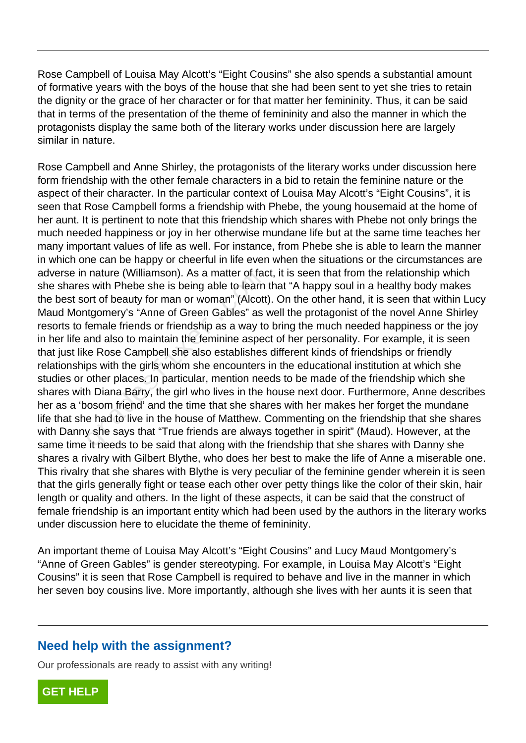Rose Campbell of Louisa May Alcott's "Eight Cousins" she also spends a substantial amount of formative years with the boys of the house that she had been sent to yet she tries to retain the dignity or the grace of her character or for that matter her femininity. Thus, it can be said that in terms of the presentation of the theme of femininity and also the manner in which the protagonists display the same both of the literary works under discussion here are largely similar in nature.

Rose Campbell and Anne Shirley, the protagonists of the literary works under discussion here form friendship with the other female characters in a bid to retain the feminine nature or the aspect of their character. In the particular context of Louisa May Alcott's "Eight Cousins", it is seen that Rose Campbell forms a friendship with Phebe, the young housemaid at the home of her aunt. It is pertinent to note that this friendship which shares with Phebe not only brings the much needed happiness or joy in her otherwise mundane life but at the same time teaches her many important values of life as well. For instance, from Phebe she is able to learn the manner in which one can be happy or cheerful in life even when the situations or the circumstances are adverse in nature (Williamson). As a matter of fact, it is seen that from the relationship which she shares with Phebe she is being able to learn that "A happy soul in a healthy body makes the best sort of beauty for man or woman" (Alcott). On the other hand, it is seen that within Lucy Maud Montgomery's "Anne of Green Gables" as well the protagonist of the novel Anne Shirley resorts to female friends or friendship as a way to bring the much needed happiness or the joy in her life and also to maintain the feminine aspect of her personality. For example, it is seen that just like Rose Campbell she also establishes different kinds of friendships or friendly relationships with the girls whom she encounters in the educational institution at which she studies or other places. In particular, mention needs to be made of the friendship which she shares with Diana Barry, the girl who lives in the house next door. Furthermore, Anne describes her as a 'bosom friend' and the time that she shares with her makes her forget the mundane life that she had to live in the house of Matthew. Commenting on the friendship that she shares with Danny she says that "True friends are always together in spirit" (Maud). However, at the same time it needs to be said that along with the friendship that she shares with Danny she shares a rivalry with Gilbert Blythe, who does her best to make the life of Anne a miserable one. This rivalry that she shares with Blythe is very peculiar of the feminine gender wherein it is seen that the girls generally fight or tease each other over petty things like the color of their skin, hair length or quality and others. In the light of these aspects, it can be said that the construct of female friendship is an important entity which had been used by the authors in the literary works under discussion here to elucidate the theme of femininity. Frature (Williamson). As a matter of rate<br>is with Phebe she is being able to learn<br>ort of beauty for man or woman" (Alcott<br>ttgomery's "Anne of Green Gables" as<br>female friends or friendship as a way to<br>and also to maintain

An important theme of Louisa May Alcott's "Eight Cousins" and Lucy Maud Montgomery's "Anne of Green Gables" is gender stereotyping. For example, in Louisa May Alcott's "Eight Cousins" it is seen that Rose Campbell is required to behave and live in the manner in which her seven boy cousins live. More importantly, although she lives with her aunts it is seen that

#### **Need help with the assignment?**

Our professionals are ready to assist with any writing!

**[GET HELP](https://my.gradesfixer.com/order?utm_campaign=pdf_sample)**